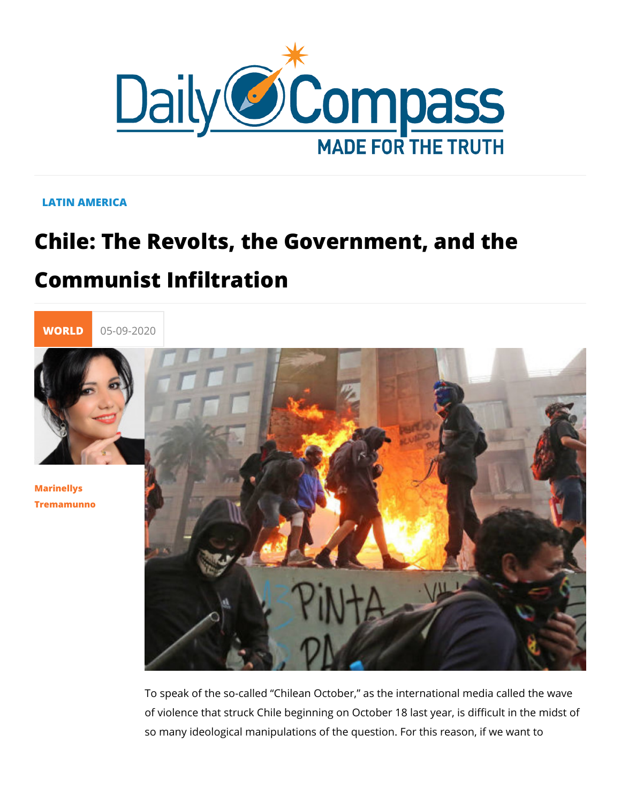#### LATIN AMERICA

# Chile: The Revolts, the Government, a Communist Infiltration



[Marinell](/en/marinellys-tremamunno)ys [Tremamun](/en/marinellys-tremamunno)no

> To speak of the so-called Chilean October, as the internation of violence that struck Chile beginning on October 18 last yea so many ideological manipulations of the question. For this re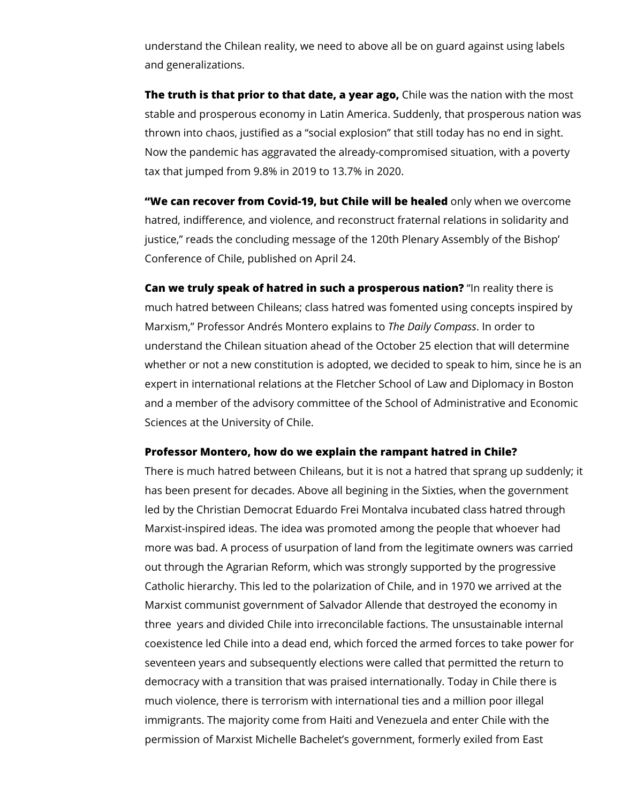understand the Chilean reality, we need to above all be on guard against using labels and generalizations.

**The truth is that prior to that date, a year ago,** Chile was the nation with the most stable and prosperous economy in Latin America. Suddenly, that prosperous nation was thrown into chaos, justified as a "social explosion" that still today has no end in sight. Now the pandemic has aggravated the already-compromised situation, with a poverty tax that jumped from 9.8% in 2019 to 13.7% in 2020.

**"We can recover from Covid-19, but Chile will be healed** only when we overcome hatred, indifference, and violence, and reconstruct fraternal relations in solidarity and justice," reads the concluding message of the 120th Plenary Assembly of the Bishop' Conference of Chile, published on April 24.

**Can we truly speak of hatred in such a prosperous nation?** "In reality there is much hatred between Chileans; class hatred was fomented using concepts inspired by Marxism," Professor Andrés Montero explains to *The Daily Compass*. In order to understand the Chilean situation ahead of the October 25 election that will determine whether or not a new constitution is adopted, we decided to speak to him, since he is an expert in international relations at the Fletcher School of Law and Diplomacy in Boston and a member of the advisory committee of the School of Administrative and Economic Sciences at the University of Chile.

#### **Professor Montero, how do we explain the rampant hatred in Chile?**

There is much hatred between Chileans, but it is not a hatred that sprang up suddenly; it has been present for decades. Above all begining in the Sixties, when the government led by the Christian Democrat Eduardo Frei Montalva incubated class hatred through Marxist-inspired ideas. The idea was promoted among the people that whoever had more was bad. A process of usurpation of land from the legitimate owners was carried out through the Agrarian Reform, which was strongly supported by the progressive Catholic hierarchy. This led to the polarization of Chile, and in 1970 we arrived at the Marxist communist government of Salvador Allende that destroyed the economy in three years and divided Chile into irreconcilable factions. The unsustainable internal coexistence led Chile into a dead end, which forced the armed forces to take power for seventeen years and subsequently elections were called that permitted the return to democracy with a transition that was praised internationally. Today in Chile there is much violence, there is terrorism with international ties and a million poor illegal immigrants. The majority come from Haiti and Venezuela and enter Chile with the permission of Marxist Michelle Bachelet's government, formerly exiled from East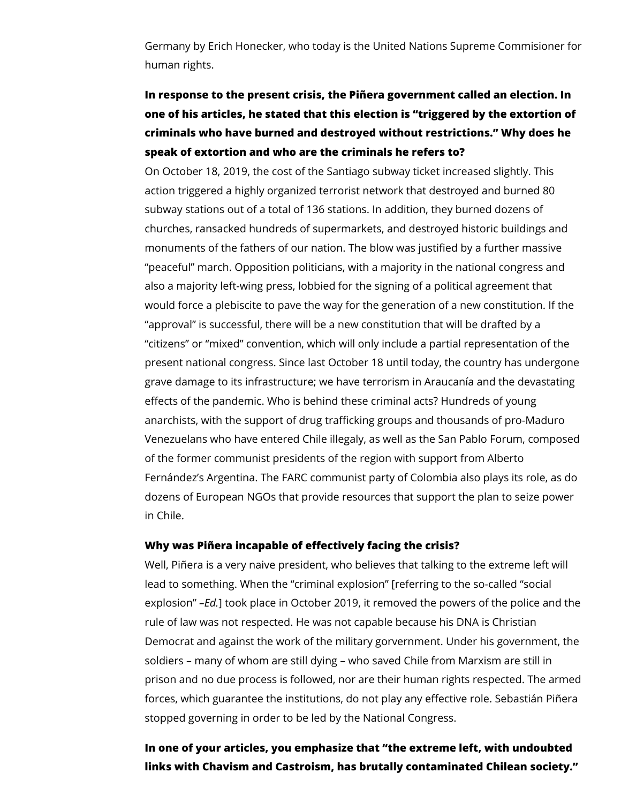Germany by Erich Honecker, who today is the United Nations Supreme Commisioner for human rights.

## **In response to the present crisis, the Piñera government called an election. In one of his articles, he stated that this election is "triggered by the extortion of criminals who have burned and destroyed without restrictions." Why does he speak of extortion and who are the criminals he refers to?**

On October 18, 2019, the cost of the Santiago subway ticket increased slightly. This action triggered a highly organized terrorist network that destroyed and burned 80 subway stations out of a total of 136 stations. In addition, they burned dozens of churches, ransacked hundreds of supermarkets, and destroyed historic buildings and monuments of the fathers of our nation. The blow was justified by a further massive "peaceful" march. Opposition politicians, with a majority in the national congress and also a majority left-wing press, lobbied for the signing of a political agreement that would force a plebiscite to pave the way for the generation of a new constitution. If the "approval" is successful, there will be a new constitution that will be drafted by a "citizens" or "mixed" convention, which will only include a partial representation of the present national congress. Since last October 18 until today, the country has undergone grave damage to its infrastructure; we have terrorism in Araucanía and the devastating effects of the pandemic. Who is behind these criminal acts? Hundreds of young anarchists, with the support of drug trafficking groups and thousands of pro-Maduro Venezuelans who have entered Chile illegaly, as well as the San Pablo Forum, composed of the former communist presidents of the region with support from Alberto Fernández's Argentina. The FARC communist party of Colombia also plays its role, as do dozens of European NGOs that provide resources that support the plan to seize power in Chile.

#### **Why was Piñera incapable of effectively facing the crisis?**

Well, Piñera is a very naive president, who believes that talking to the extreme left will lead to something. When the "criminal explosion" [referring to the so-called "social explosion" *–Ed.*] took place in October 2019, it removed the powers of the police and the rule of law was not respected. He was not capable because his DNA is Christian Democrat and against the work of the military gorvernment. Under his government, the soldiers – many of whom are still dying – who saved Chile from Marxism are still in prison and no due process is followed, nor are their human rights respected. The armed forces, which guarantee the institutions, do not play any effective role. Sebastián Piñera stopped governing in order to be led by the National Congress.

**In one of your articles, you emphasize that "the extreme left, with undoubted links with Chavism and Castroism, has brutally contaminated Chilean society."**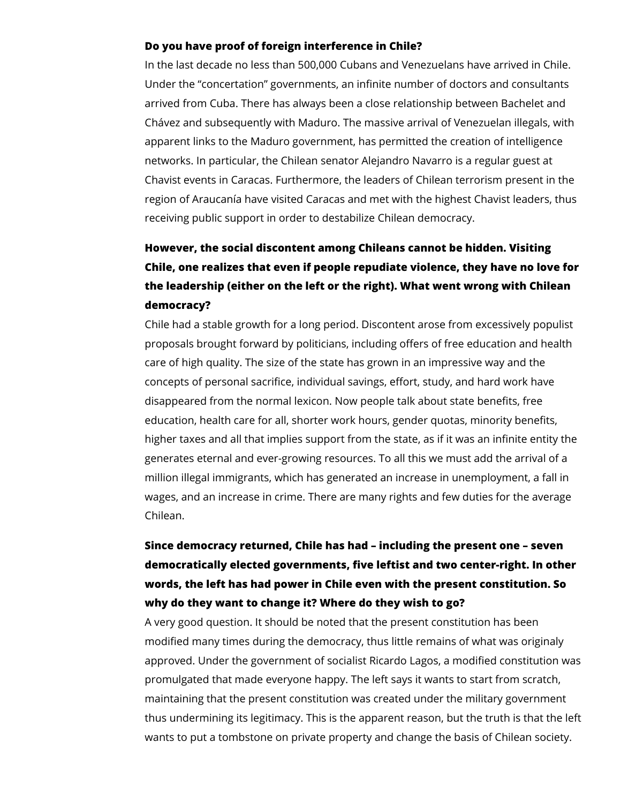#### **Do you have proof of foreign interference in Chile?**

In the last decade no less than 500,000 Cubans and Venezuelans have arrived in Chile. Under the "concertation" governments, an infinite number of doctors and consultants arrived from Cuba. There has always been a close relationship between Bachelet and Chávez and subsequently with Maduro. The massive arrival of Venezuelan illegals, with apparent links to the Maduro government, has permitted the creation of intelligence networks. In particular, the Chilean senator Alejandro Navarro is a regular guest at Chavist events in Caracas. Furthermore, the leaders of Chilean terrorism present in the region of Araucanía have visited Caracas and met with the highest Chavist leaders, thus receiving public support in order to destabilize Chilean democracy.

## **However, the social discontent among Chileans cannot be hidden. Visiting Chile, one realizes that even if people repudiate violence, they have no love for the leadership (either on the left or the right). What went wrong with Chilean democracy?**

Chile had a stable growth for a long period. Discontent arose from excessively populist proposals brought forward by politicians, including offers of free education and health care of high quality. The size of the state has grown in an impressive way and the concepts of personal sacrifice, individual savings, effort, study, and hard work have disappeared from the normal lexicon. Now people talk about state benefits, free education, health care for all, shorter work hours, gender quotas, minority benefits, higher taxes and all that implies support from the state, as if it was an infinite entity the generates eternal and ever-growing resources. To all this we must add the arrival of a million illegal immigrants, which has generated an increase in unemployment, a fall in wages, and an increase in crime. There are many rights and few duties for the average Chilean.

## **Since democracy returned, Chile has had – including the present one – seven democratically elected governments, five leftist and two center-right. In other words, the left has had power in Chile even with the present constitution. So why do they want to change it? Where do they wish to go?**

A very good question. It should be noted that the present constitution has been modified many times during the democracy, thus little remains of what was originaly approved. Under the government of socialist Ricardo Lagos, a modified constitution was promulgated that made everyone happy. The left says it wants to start from scratch, maintaining that the present constitution was created under the military government thus undermining its legitimacy. This is the apparent reason, but the truth is that the left wants to put a tombstone on private property and change the basis of Chilean society.